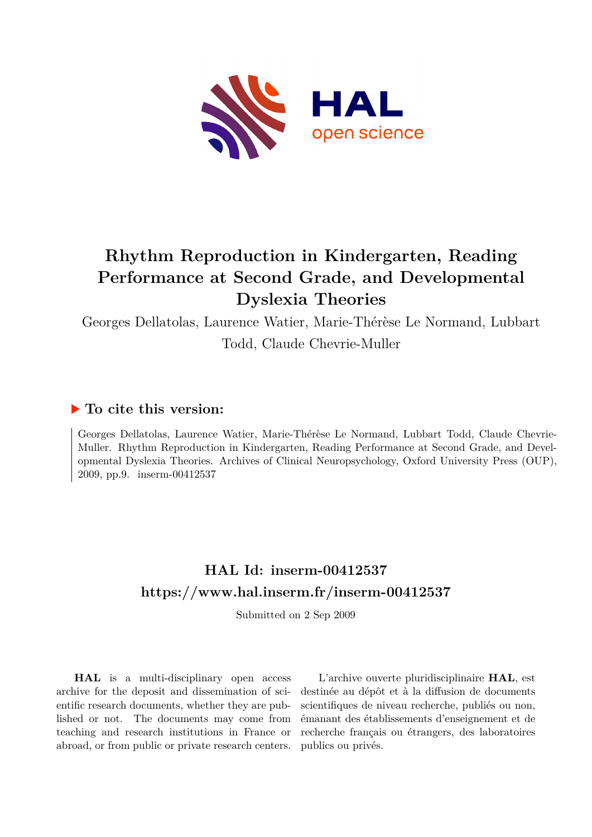

# **Rhythm Reproduction in Kindergarten, Reading Performance at Second Grade, and Developmental Dyslexia Theories**

Georges Dellatolas, Laurence Watier, Marie-Thérèse Le Normand, Lubbart Todd, Claude Chevrie-Muller

## **To cite this version:**

Georges Dellatolas, Laurence Watier, Marie-Thérèse Le Normand, Lubbart Todd, Claude Chevrie-Muller. Rhythm Reproduction in Kindergarten, Reading Performance at Second Grade, and Developmental Dyslexia Theories. Archives of Clinical Neuropsychology, Oxford University Press (OUP), 2009, pp.9. inserm-00412537

## **HAL Id: inserm-00412537 <https://www.hal.inserm.fr/inserm-00412537>**

Submitted on 2 Sep 2009

**HAL** is a multi-disciplinary open access archive for the deposit and dissemination of scientific research documents, whether they are published or not. The documents may come from teaching and research institutions in France or abroad, or from public or private research centers.

L'archive ouverte pluridisciplinaire **HAL**, est destinée au dépôt et à la diffusion de documents scientifiques de niveau recherche, publiés ou non, émanant des établissements d'enseignement et de recherche français ou étrangers, des laboratoires publics ou privés.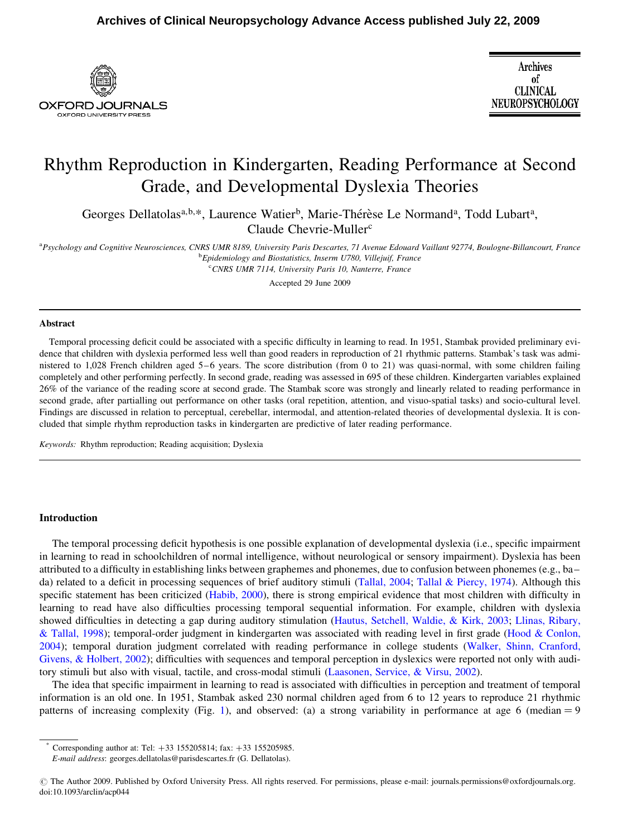

## Rhythm Reproduction in Kindergarten, Reading Performance at Second Grade, and Developmental Dyslexia Theories

Georges Dellatolas<sup>a,b,\*</sup>, Laurence Watier<sup>b</sup>, Marie-Thérèse Le Normand<sup>a</sup>, Todd Lubart<sup>a</sup>, Claude Chevrie-Muller<sup>c</sup>

<sup>a</sup> Psychology and Cognitive Neurosciences, CNRS UMR 8189, University Paris Descartes, 71 Avenue Edouard Vaillant 92774, Boulogne-Billancourt, France <sup>b</sup> Epidemiology and Biostatistics, Inserm U780, Villejuif, France

<sup>c</sup> CNRS UMR 7114, University Paris 10, Nanterre, France

Accepted 29 June 2009

#### Abstract

Temporal processing deficit could be associated with a specific difficulty in learning to read. In 1951, Stambak provided preliminary evidence that children with dyslexia performed less well than good readers in reproduction of 21 rhythmic patterns. Stambak's task was administered to 1,028 French children aged 5–6 years. The score distribution (from 0 to 21) was quasi-normal, with some children failing completely and other performing perfectly. In second grade, reading was assessed in 695 of these children. Kindergarten variables explained 26% of the variance of the reading score at second grade. The Stambak score was strongly and linearly related to reading performance in second grade, after partialling out performance on other tasks (oral repetition, attention, and visuo-spatial tasks) and socio-cultural level. Findings are discussed in relation to perceptual, cerebellar, intermodal, and attention-related theories of developmental dyslexia. It is concluded that simple rhythm reproduction tasks in kindergarten are predictive of later reading performance.

Keywords: Rhythm reproduction; Reading acquisition; Dyslexia

#### Introduction

The temporal processing deficit hypothesis is one possible explanation of developmental dyslexia (i.e., specific impairment in learning to read in schoolchildren of normal intelligence, without neurological or sensory impairment). Dyslexia has been attributed to a difficulty in establishing links between graphemes and phonemes, due to confusion between phonemes (e.g., ba– da) related to a deficit in processing sequences of brief auditory stimuli (Tallal, 2004; Tallal & Piercy, 1974). Although this specific statement has been criticized (Habib, 2000), there is strong empirical evidence that most children with difficulty in learning to read have also difficulties processing temporal sequential information. For example, children with dyslexia showed difficulties in detecting a gap during auditory stimulation (Hautus, Setchell, Waldie, & Kirk, 2003; Llinas, Ribary, & Tallal, 1998); temporal-order judgment in kindergarten was associated with reading level in first grade (Hood & Conlon, 2004); temporal duration judgment correlated with reading performance in college students (Walker, Shinn, Cranford, Givens, & Holbert, 2002); difficulties with sequences and temporal perception in dyslexics were reported not only with auditory stimuli but also with visual, tactile, and cross-modal stimuli (Laasonen, Service, & Virsu, 2002).

The idea that specific impairment in learning to read is associated with difficulties in perception and treatment of temporal information is an old one. In 1951, Stambak asked 230 normal children aged from 6 to 12 years to reproduce 21 rhythmic patterns of increasing complexity (Fig. 1), and observed: (a) a strong variability in performance at age 6 (median  $= 9$ 

Corresponding author at: Tel:  $+33$  155205814; fax:  $+33$  155205985.

E-mail address: georges.dellatolas@parisdescartes.fr (G. Dellatolas).

*<sup>#</sup>* The Author 2009. Published by Oxford University Press. All rights reserved. For permissions, please e-mail: journals.permissions@oxfordjournals.org. doi:10.1093/arclin/acp044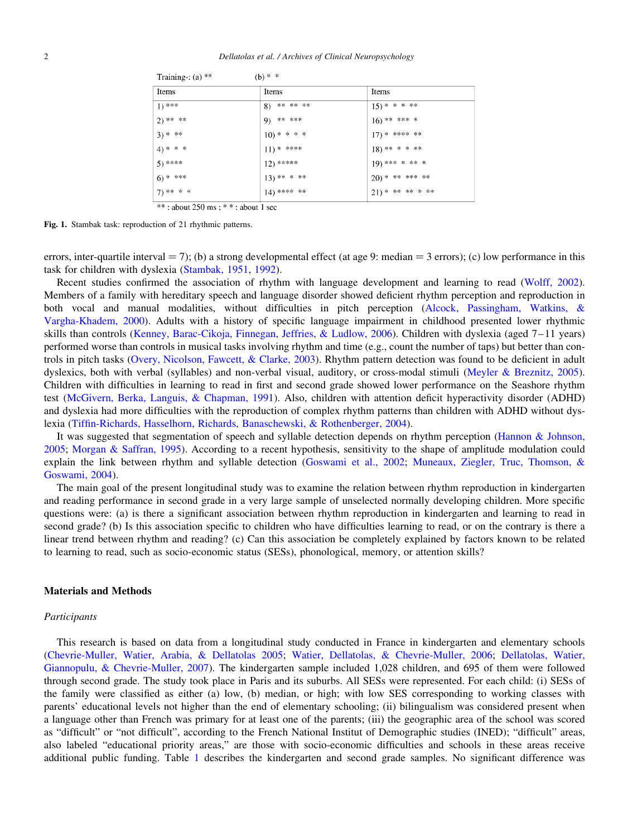$\sim$   $\sim$   $\sim$ 

| Items        | Items          | Items              |
|--------------|----------------|--------------------|
| $1)$ ***     | 8) ** ** **    | $(15)******$       |
| 2) ** **     | 9) ** ***      | $16)$ ** *** *     |
| $3)$ * **    | $10)*****$     | $17)*******$       |
| 4) * * *     | $(11)$ * ****  | 18) ** * * **      |
| $5)$ ****    | $12)$ *****    | 19) *** * ** *     |
| $6)$ * ***   | $13)******$    | $20)*******$ **    |
| $7)****$ * * | $(14)$ **** ** | $21)$ * ** ** * ** |

Fig. 1. Stambak task: reproduction of 21 rhythmic patterns.

 $\equiv$   $\cdots$ 

**College** 

errors, inter-quartile interval  $= 7$ ); (b) a strong developmental effect (at age 9: median  $= 3$  errors); (c) low performance in this task for children with dyslexia (Stambak, 1951, 1992).

Recent studies confirmed the association of rhythm with language development and learning to read (Wolff, 2002). Members of a family with hereditary speech and language disorder showed deficient rhythm perception and reproduction in both vocal and manual modalities, without difficulties in pitch perception (Alcock, Passingham, Watkins, & Vargha-Khadem, 2000). Adults with a history of specific language impairment in childhood presented lower rhythmic skills than controls (Kenney, Barac-Cikoja, Finnegan, Jeffries, & Ludlow, 2006). Children with dyslexia (aged 7–11 years) performed worse than controls in musical tasks involving rhythm and time (e.g., count the number of taps) but better than controls in pitch tasks (Overy, Nicolson, Fawcett, & Clarke, 2003). Rhythm pattern detection was found to be deficient in adult dyslexics, both with verbal (syllables) and non-verbal visual, auditory, or cross-modal stimuli (Meyler & Breznitz, 2005). Children with difficulties in learning to read in first and second grade showed lower performance on the Seashore rhythm test (McGivern, Berka, Languis, & Chapman, 1991). Also, children with attention deficit hyperactivity disorder (ADHD) and dyslexia had more difficulties with the reproduction of complex rhythm patterns than children with ADHD without dyslexia (Tiffin-Richards, Hasselhorn, Richards, Banaschewski, & Rothenberger, 2004).

It was suggested that segmentation of speech and syllable detection depends on rhythm perception (Hannon & Johnson, 2005; Morgan & Saffran, 1995). According to a recent hypothesis, sensitivity to the shape of amplitude modulation could explain the link between rhythm and syllable detection (Goswami et al., 2002; Muneaux, Ziegler, Truc, Thomson, & Goswami, 2004).

The main goal of the present longitudinal study was to examine the relation between rhythm reproduction in kindergarten and reading performance in second grade in a very large sample of unselected normally developing children. More specific questions were: (a) is there a significant association between rhythm reproduction in kindergarten and learning to read in second grade? (b) Is this association specific to children who have difficulties learning to read, or on the contrary is there a linear trend between rhythm and reading? (c) Can this association be completely explained by factors known to be related to learning to read, such as socio-economic status (SESs), phonological, memory, or attention skills?

#### Materials and Methods

#### Participants

This research is based on data from a longitudinal study conducted in France in kindergarten and elementary schools (Chevrie-Muller, Watier, Arabia, & Dellatolas 2005; Watier, Dellatolas, & Chevrie-Muller, 2006; Dellatolas, Watier, Giannopulu, & Chevrie-Muller, 2007). The kindergarten sample included 1,028 children, and 695 of them were followed through second grade. The study took place in Paris and its suburbs. All SESs were represented. For each child: (i) SESs of the family were classified as either (a) low, (b) median, or high; with low SES corresponding to working classes with parents' educational levels not higher than the end of elementary schooling; (ii) bilingualism was considered present when a language other than French was primary for at least one of the parents; (iii) the geographic area of the school was scored as "difficult" or "not difficult", according to the French National Institut of Demographic studies (INED); "difficult" areas, also labeled "educational priority areas," are those with socio-economic difficulties and schools in these areas receive additional public funding. Table 1 describes the kindergarten and second grade samples. No significant difference was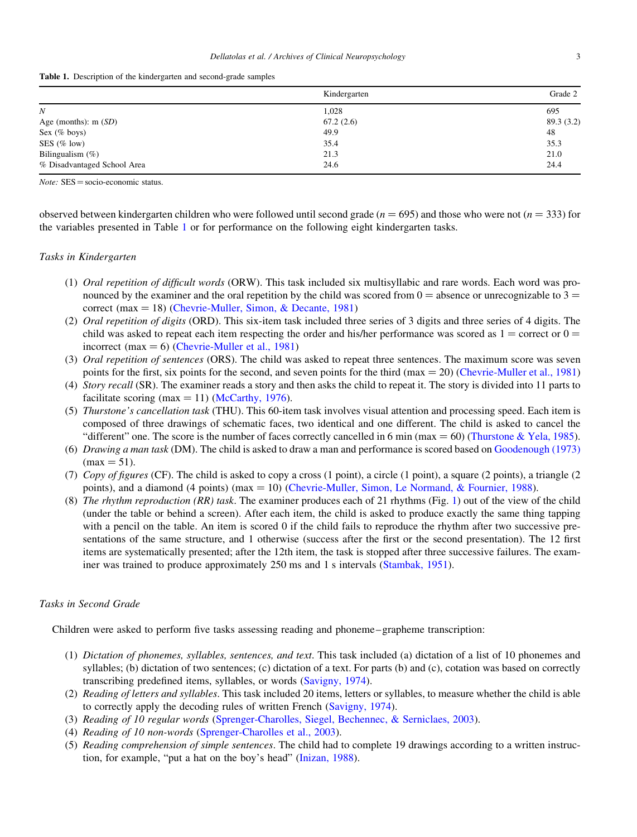|  |  |  |  |  | Table 1. Description of the kindergarten and second-grade samples |  |
|--|--|--|--|--|-------------------------------------------------------------------|--|
|--|--|--|--|--|-------------------------------------------------------------------|--|

|                             | Kindergarten | Grade 2   |
|-----------------------------|--------------|-----------|
| N                           | 1,028        | 695       |
| Age (months): $m(SD)$       | 67.2(2.6)    | 89.3(3.2) |
| Sex $(\%$ boys)             | 49.9         | 48        |
| SES $(\%$ low)              | 35.4         | 35.3      |
| Bilingualism $(\%)$         | 21.3         | 21.0      |
| % Disadvantaged School Area | 24.6         | 24.4      |

 $Note: SES = socio\text{-economic status}.$ 

observed between kindergarten children who were followed until second grade ( $n = 695$ ) and those who were not ( $n = 333$ ) for the variables presented in Table 1 or for performance on the following eight kindergarten tasks.

#### Tasks in Kindergarten

- (1) Oral repetition of difficult words (ORW). This task included six multisyllabic and rare words. Each word was pronounced by the examiner and the oral repetition by the child was scored from  $0 =$  absence or unrecognizable to  $3 =$ correct (max  $= 18$ ) (Chevrie-Muller, Simon, & Decante, 1981)
- (2) Oral repetition of digits (ORD). This six-item task included three series of 3 digits and three series of 4 digits. The child was asked to repeat each item respecting the order and his/her performance was scored as  $1 =$  correct or  $0 =$ incorrect (max  $= 6$ ) (Chevrie-Muller et al., 1981)
- (3) *Oral repetition of sentences* (ORS). The child was asked to repeat three sentences. The maximum score was seven points for the first, six points for the second, and seven points for the third (max  $= 20$ ) (Chevrie-Muller et al., 1981)
- (4) Story recall (SR). The examiner reads a story and then asks the child to repeat it. The story is divided into 11 parts to facilitate scoring (max  $=$  11) (McCarthy, 1976).
- (5) Thurstone's cancellation task (THU). This 60-item task involves visual attention and processing speed. Each item is composed of three drawings of schematic faces, two identical and one different. The child is asked to cancel the "different" one. The score is the number of faces correctly cancelled in 6 min (max = 60) (Thurstone & Yela, 1985).
- (6) Drawing a man task (DM). The child is asked to draw a man and performance is scored based on Goodenough (1973)  $(max = 51)$ .
- (7) Copy of figures (CF). The child is asked to copy a cross (1 point), a circle (1 point), a square (2 points), a triangle (2 points), and a diamond (4 points) (max = 10) (Chevrie-Muller, Simon, Le Normand, & Fournier, 1988).
- (8) The rhythm reproduction  $(RR)$  task. The examiner produces each of 21 rhythms (Fig. 1) out of the view of the child (under the table or behind a screen). After each item, the child is asked to produce exactly the same thing tapping with a pencil on the table. An item is scored 0 if the child fails to reproduce the rhythm after two successive presentations of the same structure, and 1 otherwise (success after the first or the second presentation). The 12 first items are systematically presented; after the 12th item, the task is stopped after three successive failures. The examiner was trained to produce approximately 250 ms and 1 s intervals (Stambak, 1951).

## Tasks in Second Grade

Children were asked to perform five tasks assessing reading and phoneme–grapheme transcription:

- (1) Dictation of phonemes, syllables, sentences, and text. This task included (a) dictation of a list of 10 phonemes and syllables; (b) dictation of two sentences; (c) dictation of a text. For parts (b) and (c), cotation was based on correctly transcribing predefined items, syllables, or words (Savigny, 1974).
- (2) Reading of letters and syllables. This task included 20 items, letters or syllables, to measure whether the child is able to correctly apply the decoding rules of written French (Savigny, 1974).
- (3) Reading of 10 regular words (Sprenger-Charolles, Siegel, Bechennec, & Serniclaes, 2003).
- (4) Reading of 10 non-words (Sprenger-Charolles et al., 2003).
- (5) Reading comprehension of simple sentences. The child had to complete 19 drawings according to a written instruction, for example, "put a hat on the boy's head" (Inizan, 1988).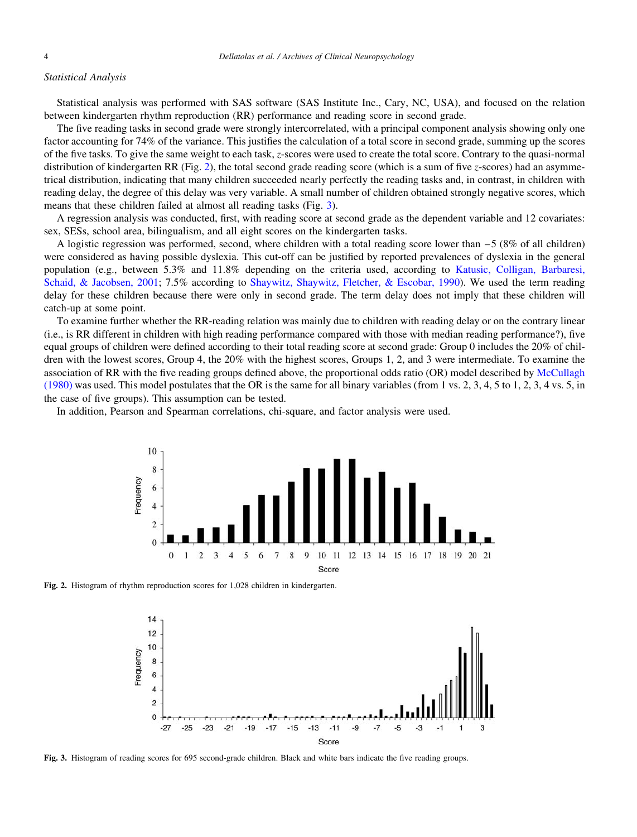#### Statistical Analysis

Statistical analysis was performed with SAS software (SAS Institute Inc., Cary, NC, USA), and focused on the relation between kindergarten rhythm reproduction (RR) performance and reading score in second grade.

The five reading tasks in second grade were strongly intercorrelated, with a principal component analysis showing only one factor accounting for 74% of the variance. This justifies the calculation of a total score in second grade, summing up the scores of the five tasks. To give the same weight to each task, z-scores were used to create the total score. Contrary to the quasi-normal distribution of kindergarten RR (Fig. 2), the total second grade reading score (which is a sum of five z-scores) had an asymmetrical distribution, indicating that many children succeeded nearly perfectly the reading tasks and, in contrast, in children with reading delay, the degree of this delay was very variable. A small number of children obtained strongly negative scores, which means that these children failed at almost all reading tasks (Fig. 3).

A regression analysis was conducted, first, with reading score at second grade as the dependent variable and 12 covariates: sex, SESs, school area, bilingualism, and all eight scores on the kindergarten tasks.

A logistic regression was performed, second, where children with a total reading score lower than –5 (8% of all children) were considered as having possible dyslexia. This cut-off can be justified by reported prevalences of dyslexia in the general population (e.g., between 5.3% and 11.8% depending on the criteria used, according to Katusic, Colligan, Barbaresi, Schaid, & Jacobsen, 2001; 7.5% according to Shaywitz, Shaywitz, Fletcher, & Escobar, 1990). We used the term reading delay for these children because there were only in second grade. The term delay does not imply that these children will catch-up at some point.

To examine further whether the RR-reading relation was mainly due to children with reading delay or on the contrary linear (i.e., is RR different in children with high reading performance compared with those with median reading performance?), five equal groups of children were defined according to their total reading score at second grade: Group 0 includes the 20% of children with the lowest scores, Group 4, the 20% with the highest scores, Groups 1, 2, and 3 were intermediate. To examine the association of RR with the five reading groups defined above, the proportional odds ratio (OR) model described by McCullagh (1980) was used. This model postulates that the OR is the same for all binary variables (from 1 vs. 2, 3, 4, 5 to 1, 2, 3, 4 vs. 5, in the case of five groups). This assumption can be tested.

In addition, Pearson and Spearman correlations, chi-square, and factor analysis were used.



Fig. 2. Histogram of rhythm reproduction scores for 1,028 children in kindergarten.



Fig. 3. Histogram of reading scores for 695 second-grade children. Black and white bars indicate the five reading groups.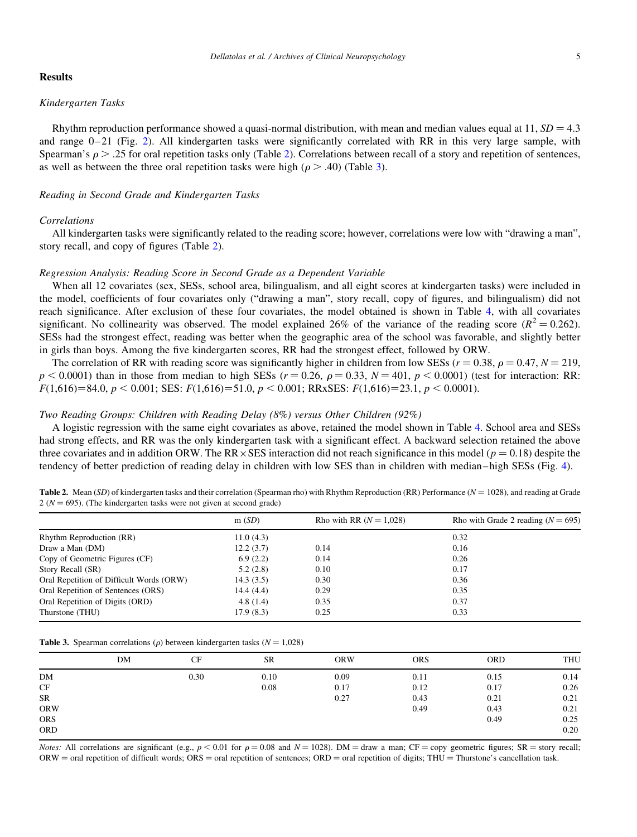## Results

## Kindergarten Tasks

Rhythm reproduction performance showed a quasi-normal distribution, with mean and median values equal at  $11$ ,  $SD = 4.3$ and range  $0-21$  (Fig. 2). All kindergarten tasks were significantly correlated with RR in this very large sample, with Spearman's  $\rho$  > .25 for oral repetition tasks only (Table 2). Correlations between recall of a story and repetition of sentences, as well as between the three oral repetition tasks were high ( $\rho > .40$ ) (Table 3).

## Reading in Second Grade and Kindergarten Tasks

### Correlations

All kindergarten tasks were significantly related to the reading score; however, correlations were low with "drawing a man", story recall, and copy of figures (Table 2).

#### Regression Analysis: Reading Score in Second Grade as a Dependent Variable

When all 12 covariates (sex, SESs, school area, bilingualism, and all eight scores at kindergarten tasks) were included in the model, coefficients of four covariates only ("drawing a man", story recall, copy of figures, and bilingualism) did not reach significance. After exclusion of these four covariates, the model obtained is shown in Table 4, with all covariates significant. No collinearity was observed. The model explained 26% of the variance of the reading score ( $R^2 = 0.262$ ). SESs had the strongest effect, reading was better when the geographic area of the school was favorable, and slightly better in girls than boys. Among the five kindergarten scores, RR had the strongest effect, followed by ORW.

The correlation of RR with reading score was significantly higher in children from low SESs ( $r = 0.38$ ,  $\rho = 0.47$ ,  $N = 219$ ,  $p \le 0.0001$ ) than in those from median to high SESs ( $r = 0.26$ ,  $\rho = 0.33$ ,  $N = 401$ ,  $p \le 0.0001$ ) (test for interaction: RR:  $F(1,616)=84.0, p < 0.001$ ; SES:  $F(1,616)=51.0, p < 0.001$ ; RRxSES:  $F(1,616)=23.1, p < 0.0001$ ).

## Two Reading Groups: Children with Reading Delay (8%) versus Other Children (92%)

A logistic regression with the same eight covariates as above, retained the model shown in Table 4. School area and SESs had strong effects, and RR was the only kindergarten task with a significant effect. A backward selection retained the above three covariates and in addition ORW. The RR  $\times$  SES interaction did not reach significance in this model ( $p = 0.18$ ) despite the tendency of better prediction of reading delay in children with low SES than in children with median–high SESs (Fig. 4).

| Table 2. Mean (SD) of kindergarten tasks and their correlation (Spearman rho) with Rhythm Reproduction (RR) Performance ( $N = 1028$ ), and reading at Grade |  |
|--------------------------------------------------------------------------------------------------------------------------------------------------------------|--|
| $2(N = 695)$ . (The kindergarten tasks were not given at second grade)                                                                                       |  |
|                                                                                                                                                              |  |

|                                          | m(SD)     | Rho with RR $(N = 1.028)$ | Rho with Grade 2 reading $(N = 695)$ |
|------------------------------------------|-----------|---------------------------|--------------------------------------|
| Rhythm Reproduction (RR)                 | 11.0(4.3) |                           | 0.32                                 |
| Draw a Man (DM)                          | 12.2(3.7) | 0.14                      | 0.16                                 |
| Copy of Geometric Figures (CF)           | 6.9(2.2)  | 0.14                      | 0.26                                 |
| Story Recall (SR)                        | 5.2(2.8)  | 0.10                      | 0.17                                 |
| Oral Repetition of Difficult Words (ORW) | 14.3(3.5) | 0.30                      | 0.36                                 |
| Oral Repetition of Sentences (ORS)       | 14.4(4.4) | 0.29                      | 0.35                                 |
| Oral Repetition of Digits (ORD)          | 4.8(1.4)  | 0.35                      | 0.37                                 |
| Thurstone (THU)                          | 17.9(8.3) | 0.25                      | 0.33                                 |

|  |  | <b>Table 3.</b> Spearman correlations ( $\rho$ ) between kindergarten tasks ( $N = 1,028$ ) |  |  |  |  |  |  |
|--|--|---------------------------------------------------------------------------------------------|--|--|--|--|--|--|
|--|--|---------------------------------------------------------------------------------------------|--|--|--|--|--|--|

|            | DM | CF   | <b>SR</b> | <b>ORW</b> | <b>ORS</b> | <b>ORD</b> | <b>THU</b> |
|------------|----|------|-----------|------------|------------|------------|------------|
| DM         |    | 0.30 | 0.10      | 0.09       | 0.11       | 0.15       | 0.14       |
| CF         |    |      | 0.08      | 0.17       | 0.12       | 0.17       | 0.26       |
| ${\sf SR}$ |    |      |           | 0.27       | 0.43       | 0.21       | 0.21       |
| ORW        |    |      |           |            | 0.49       | 0.43       | 0.21       |
| ORS        |    |      |           |            |            | 0.49       | 0.25       |
| <b>ORD</b> |    |      |           |            |            |            | 0.20       |
|            |    |      |           |            |            |            |            |

*Notes:* All correlations are significant (e.g.,  $p < 0.01$  for  $\rho = 0.08$  and  $N = 1028$ ). DM = draw a man; CF = copy geometric figures; SR = story recall;  $ORW = \text{oral repetition of difficult words}; ORS = \text{oral repetition of sentence}; ORD = \text{oral repetition of digits}; THU = \text{Thurstone's cancellation task}.$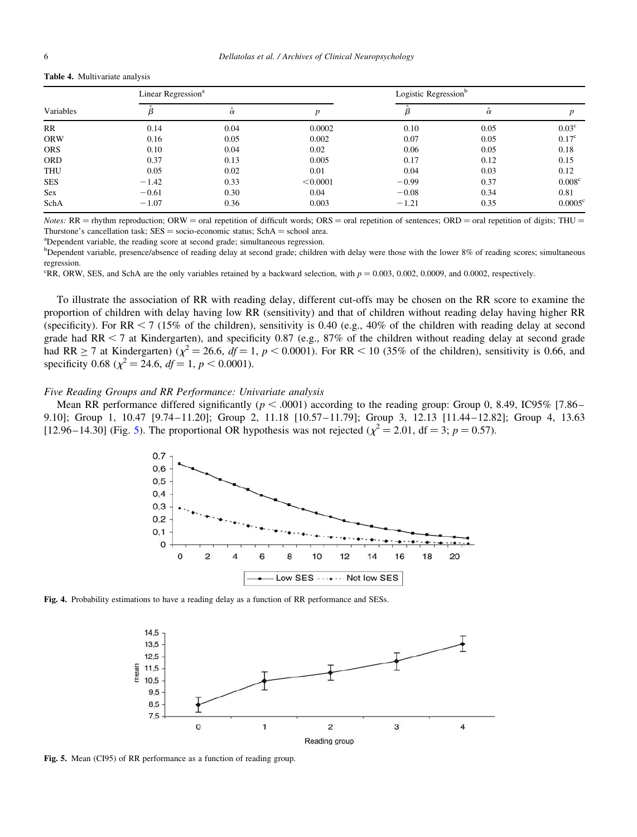#### Table 4. Multivariate analysis

| Variables  | Linear Regression <sup>a</sup> |                |          | Logistic Regression <sup>b</sup> |                |                    |  |
|------------|--------------------------------|----------------|----------|----------------------------------|----------------|--------------------|--|
|            |                                | $\hat{\alpha}$ |          |                                  | $\hat{\alpha}$ |                    |  |
| RR         | 0.14                           | 0.04           | 0.0002   | 0.10                             | 0.05           | 0.03 <sup>c</sup>  |  |
| <b>ORW</b> | 0.16                           | 0.05           | 0.002    | 0.07                             | 0.05           | 0.17 <sup>c</sup>  |  |
| <b>ORS</b> | 0.10                           | 0.04           | 0.02     | 0.06                             | 0.05           | 0.18               |  |
| <b>ORD</b> | 0.37                           | 0.13           | 0.005    | 0.17                             | 0.12           | 0.15               |  |
| <b>THU</b> | 0.05                           | 0.02           | 0.01     | 0.04                             | 0.03           | 0.12               |  |
| <b>SES</b> | $-1.42$                        | 0.33           | < 0.0001 | $-0.99$                          | 0.37           | 0.008 <sup>c</sup> |  |
| Sex        | $-0.61$                        | 0.30           | 0.04     | $-0.08$                          | 0.34           | 0.81               |  |
| SchA       | $-1.07$                        | 0.36           | 0.003    | $-1.21$                          | 0.35           | $0.0005^{\circ}$   |  |

Notes:  $RR =$  rhythm reproduction; ORW = oral repetition of difficult words; ORS = oral repetition of sentences; ORD = oral repetition of digits; THU = Thurstone's cancellation task;  $SES = socio\text{-economic status}$ ;  $SchA = school$  area.

Dependent variable, the reading score at second grade; simultaneous regression.

<sup>b</sup>Dependent variable, presence/absence of reading delay at second grade; children with delay were those with the lower 8% of reading scores; simultaneous regression.

<sup>c</sup>RR, ORW, SES, and SchA are the only variables retained by a backward selection, with  $p = 0.003$ , 0.002, 0.0009, and 0.0002, respectively.

To illustrate the association of RR with reading delay, different cut-offs may be chosen on the RR score to examine the proportion of children with delay having low RR (sensitivity) and that of children without reading delay having higher RR (specificity). For RR  $<$  7 (15% of the children), sensitivity is 0.40 (e.g., 40% of the children with reading delay at second grade had RR  $\lt$  7 at Kindergarten), and specificity 0.87 (e.g., 87% of the children without reading delay at second grade had RR  $\geq$  7 at Kindergarten) ( $\chi^2$  = 26.6,  $df$  = 1, p < 0.0001). For RR < 10 (35% of the children), sensitivity is 0.66, and specificity 0.68 ( $\chi^2$  = 24.6,  $df$  = 1,  $p$  < 0.0001).

## Five Reading Groups and RR Performance: Univariate analysis

Mean RR performance differed significantly ( $p < .0001$ ) according to the reading group: Group 0, 8.49, IC95% [7.86– 9.10]; Group 1, 10.47 [9.74–11.20]; Group 2, 11.18 [10.57–11.79]; Group 3, 12.13 [11.44–12.82]; Group 4, 13.63 [12.96–14.30] (Fig. 5). The proportional OR hypothesis was not rejected ( $\chi^2 = 2.01$ , df = 3; p = 0.57).



Fig. 4. Probability estimations to have a reading delay as a function of RR performance and SESs.



Fig. 5. Mean (CI95) of RR performance as a function of reading group.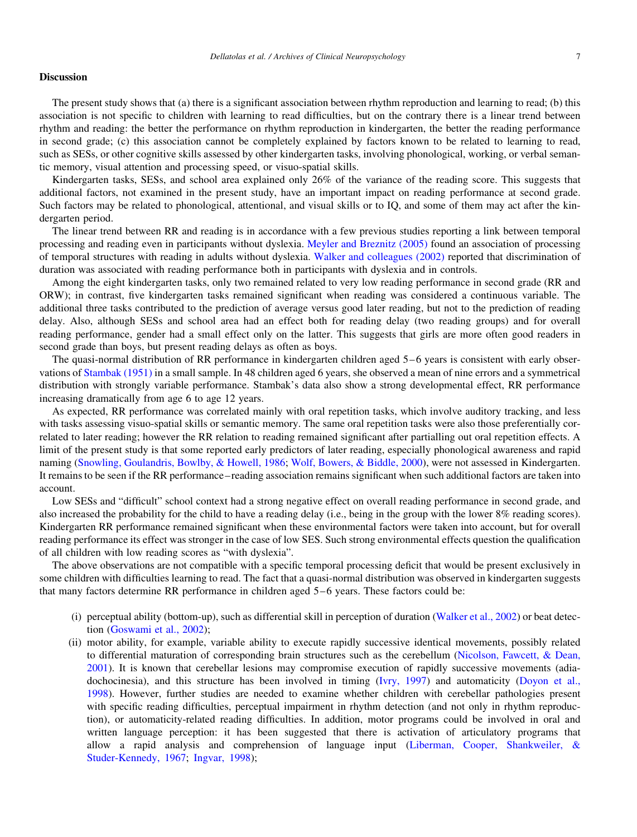#### **Discussion**

The present study shows that (a) there is a significant association between rhythm reproduction and learning to read; (b) this association is not specific to children with learning to read difficulties, but on the contrary there is a linear trend between rhythm and reading: the better the performance on rhythm reproduction in kindergarten, the better the reading performance in second grade; (c) this association cannot be completely explained by factors known to be related to learning to read, such as SESs, or other cognitive skills assessed by other kindergarten tasks, involving phonological, working, or verbal semantic memory, visual attention and processing speed, or visuo-spatial skills.

Kindergarten tasks, SESs, and school area explained only 26% of the variance of the reading score. This suggests that additional factors, not examined in the present study, have an important impact on reading performance at second grade. Such factors may be related to phonological, attentional, and visual skills or to IQ, and some of them may act after the kindergarten period.

The linear trend between RR and reading is in accordance with a few previous studies reporting a link between temporal processing and reading even in participants without dyslexia. Meyler and Breznitz (2005) found an association of processing of temporal structures with reading in adults without dyslexia. Walker and colleagues (2002) reported that discrimination of duration was associated with reading performance both in participants with dyslexia and in controls.

Among the eight kindergarten tasks, only two remained related to very low reading performance in second grade (RR and ORW); in contrast, five kindergarten tasks remained significant when reading was considered a continuous variable. The additional three tasks contributed to the prediction of average versus good later reading, but not to the prediction of reading delay. Also, although SESs and school area had an effect both for reading delay (two reading groups) and for overall reading performance, gender had a small effect only on the latter. This suggests that girls are more often good readers in second grade than boys, but present reading delays as often as boys.

The quasi-normal distribution of RR performance in kindergarten children aged 5–6 years is consistent with early observations of Stambak (1951) in a small sample. In 48 children aged 6 years, she observed a mean of nine errors and a symmetrical distribution with strongly variable performance. Stambak's data also show a strong developmental effect, RR performance increasing dramatically from age 6 to age 12 years.

As expected, RR performance was correlated mainly with oral repetition tasks, which involve auditory tracking, and less with tasks assessing visuo-spatial skills or semantic memory. The same oral repetition tasks were also those preferentially correlated to later reading; however the RR relation to reading remained significant after partialling out oral repetition effects. A limit of the present study is that some reported early predictors of later reading, especially phonological awareness and rapid naming (Snowling, Goulandris, Bowlby, & Howell, 1986; Wolf, Bowers, & Biddle, 2000), were not assessed in Kindergarten. It remains to be seen if the RR performance–reading association remains significant when such additional factors are taken into account.

Low SESs and "difficult" school context had a strong negative effect on overall reading performance in second grade, and also increased the probability for the child to have a reading delay (i.e., being in the group with the lower 8% reading scores). Kindergarten RR performance remained significant when these environmental factors were taken into account, but for overall reading performance its effect was stronger in the case of low SES. Such strong environmental effects question the qualification of all children with low reading scores as "with dyslexia".

The above observations are not compatible with a specific temporal processing deficit that would be present exclusively in some children with difficulties learning to read. The fact that a quasi-normal distribution was observed in kindergarten suggests that many factors determine RR performance in children aged 5–6 years. These factors could be:

- (i) perceptual ability (bottom-up), such as differential skill in perception of duration (Walker et al., 2002) or beat detection (Goswami et al., 2002);
- (ii) motor ability, for example, variable ability to execute rapidly successive identical movements, possibly related to differential maturation of corresponding brain structures such as the cerebellum (Nicolson, Fawcett, & Dean, 2001). It is known that cerebellar lesions may compromise execution of rapidly successive movements (adiadochocinesia), and this structure has been involved in timing (Ivry, 1997) and automaticity (Doyon et al., 1998). However, further studies are needed to examine whether children with cerebellar pathologies present with specific reading difficulties, perceptual impairment in rhythm detection (and not only in rhythm reproduction), or automaticity-related reading difficulties. In addition, motor programs could be involved in oral and written language perception: it has been suggested that there is activation of articulatory programs that allow a rapid analysis and comprehension of language input (Liberman, Cooper, Shankweiler, & Studer-Kennedy, 1967; Ingvar, 1998);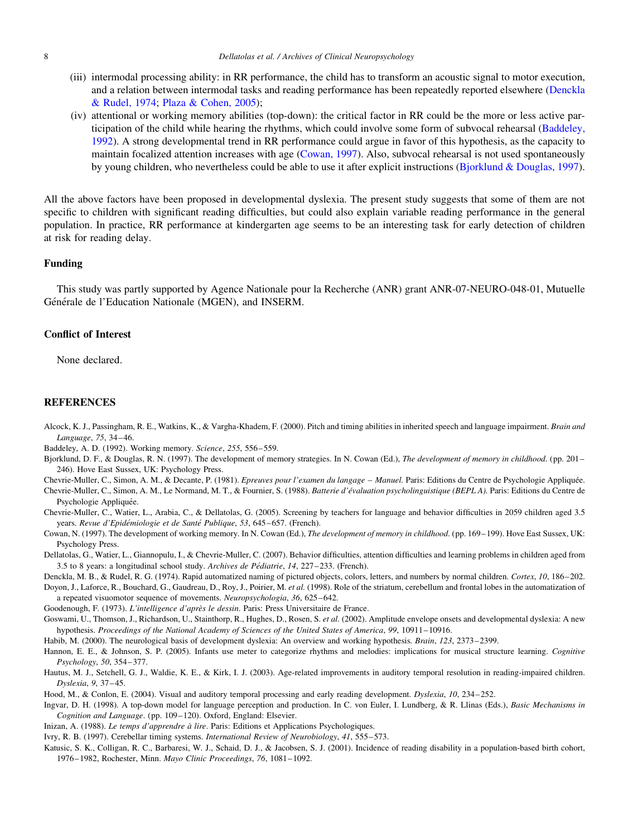- (iii) intermodal processing ability: in RR performance, the child has to transform an acoustic signal to motor execution, and a relation between intermodal tasks and reading performance has been repeatedly reported elsewhere (Denckla & Rudel, 1974; Plaza & Cohen, 2005);
- (iv) attentional or working memory abilities (top-down): the critical factor in RR could be the more or less active participation of the child while hearing the rhythms, which could involve some form of subvocal rehearsal (Baddeley, 1992). A strong developmental trend in RR performance could argue in favor of this hypothesis, as the capacity to maintain focalized attention increases with age (Cowan, 1997). Also, subvocal rehearsal is not used spontaneously by young children, who nevertheless could be able to use it after explicit instructions (Bjorklund & Douglas, 1997).

All the above factors have been proposed in developmental dyslexia. The present study suggests that some of them are not specific to children with significant reading difficulties, but could also explain variable reading performance in the general population. In practice, RR performance at kindergarten age seems to be an interesting task for early detection of children at risk for reading delay.

### Funding

This study was partly supported by Agence Nationale pour la Recherche (ANR) grant ANR-07-NEURO-048-01, Mutuelle Générale de l'Education Nationale (MGEN), and INSERM.

## Conflict of Interest

None declared.

#### **REFERENCES**

- Alcock, K. J., Passingham, R. E., Watkins, K., & Vargha-Khadem, F. (2000). Pitch and timing abilities in inherited speech and language impairment. Brain and Language, 75, 34–46.
- Baddeley, A. D. (1992). Working memory. Science, 255, 556–559.
- Bjorklund, D. F., & Douglas, R. N. (1997). The development of memory strategies. In N. Cowan (Ed.), The development of memory in childhood. (pp. 201– 246). Hove East Sussex, UK: Psychology Press.
- Chevrie-Muller, C., Simon, A. M., & Decante, P. (1981). Epreuves pour l'examen du langage Manuel. Paris: Editions du Centre de Psychologie Appliquée.
- Chevrie-Muller, C., Simon, A. M., Le Normand, M. T., & Fournier, S. (1988). Batterie d'e´valuation psycholinguistique (BEPL A). Paris: Editions du Centre de Psychologie Appliquée.
- Chevrie-Muller, C., Watier, L., Arabia, C., & Dellatolas, G. (2005). Screening by teachers for language and behavior difficulties in 2059 children aged 3.5 years. Revue d'Epidémiologie et de Santé Publique, 53, 645–657. (French).
- Cowan, N. (1997). The development of working memory. In N. Cowan (Ed.), The development of memory in childhood. (pp. 169–199). Hove East Sussex, UK: Psychology Press.
- Dellatolas, G., Watier, L., Giannopulu, I., & Chevrie-Muller, C. (2007). Behavior difficulties, attention difficulties and learning problems in children aged from 3.5 to 8 years: a longitudinal school study. Archives de Pédiatrie, 14, 227–233. (French).
- Denckla, M. B., & Rudel, R. G. (1974). Rapid automatized naming of pictured objects, colors, letters, and numbers by normal children. Cortex, 10, 186–202.
- Doyon, J., Laforce, R., Bouchard, G., Gaudreau, D., Roy, J., Poirier, M. et al. (1998). Role of the striatum, cerebellum and frontal lobes in the automatization of a repeated visuomotor sequence of movements. Neuropsychologia, 36, 625–642.
- Goodenough, F. (1973). L'intelligence d'après le dessin. Paris: Press Universitaire de France.
- Goswami, U., Thomson, J., Richardson, U., Stainthorp, R., Hughes, D., Rosen, S. et al. (2002). Amplitude envelope onsets and developmental dyslexia: A new hypothesis. Proceedings of the National Academy of Sciences of the United States of America, 99, 10911–10916.
- Habib, M. (2000). The neurological basis of development dyslexia: An overview and working hypothesis. Brain, 123, 2373–2399.
- Hannon, E. E., & Johnson, S. P. (2005). Infants use meter to categorize rhythms and melodies: implications for musical structure learning. Cognitive Psychology, 50, 354–377.
- Hautus, M. J., Setchell, G. J., Waldie, K. E., & Kirk, I. J. (2003). Age-related improvements in auditory temporal resolution in reading-impaired children. Dyslexia, 9, 37–45.
- Hood, M., & Conlon, E. (2004). Visual and auditory temporal processing and early reading development. Dyslexia, 10, 234–252.
- Ingvar, D. H. (1998). A top-down model for language perception and production. In C. von Euler, I. Lundberg, & R. Llinas (Eds.), Basic Mechanisms in Cognition and Language. (pp. 109–120). Oxford, England: Elsevier.
- Inizan, A. (1988). Le temps d'apprendre à lire. Paris: Editions et Applications Psychologiques.
- Ivry, R. B. (1997). Cerebellar timing systems. International Review of Neurobiology, 41, 555–573.
- Katusic, S. K., Colligan, R. C., Barbaresi, W. J., Schaid, D. J., & Jacobsen, S. J. (2001). Incidence of reading disability in a population-based birth cohort, 1976–1982, Rochester, Minn. Mayo Clinic Proceedings, 76, 1081–1092.